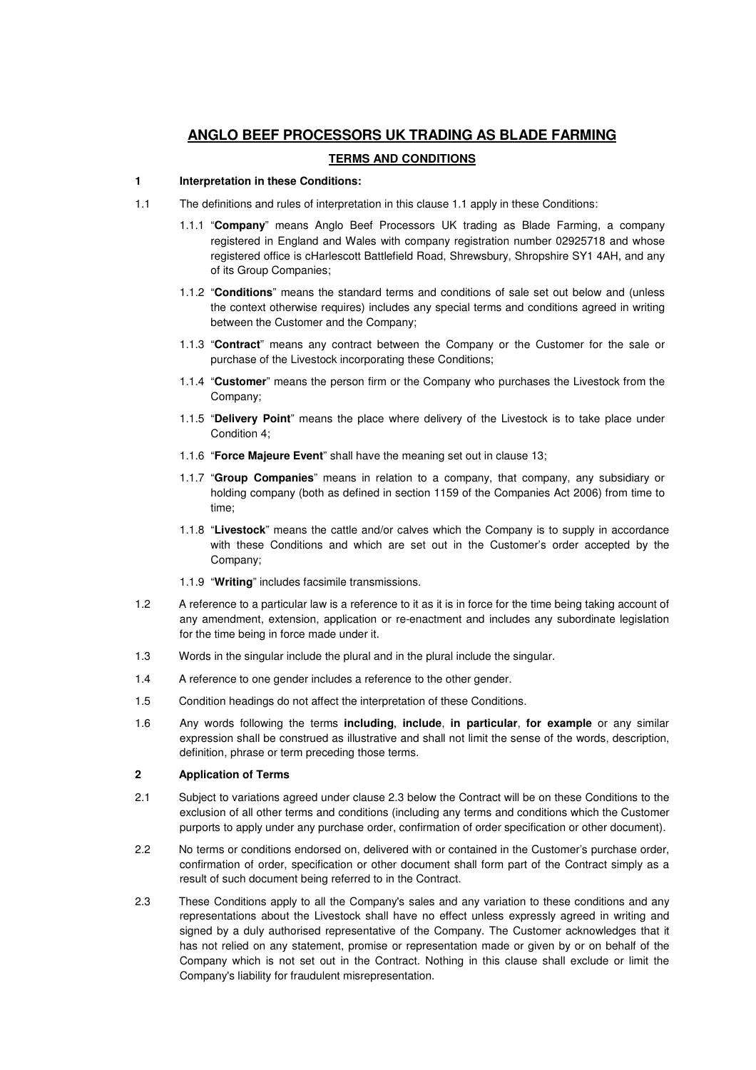# **ANGLO BEEF PROCESSORS UK TRADING AS BLADE FARMING**

# **TERMS AND CONDITIONS**

#### **1 Interpretation in these Conditions:**

- 1.1 The definitions and rules of interpretation in this clause 1.1 apply in these Conditions:
	- 1.1.1 "**Company**" means Anglo Beef Processors UK trading as Blade Farming, a company registered in England and Wales with company registration number 02925718 and whose registered office is cHarlescott Battlefield Road, Shrewsbury, Shropshire SY1 4AH, and any of its Group Companies;
	- 1.1.2 "**Conditions**" means the standard terms and conditions of sale set out below and (unless the context otherwise requires) includes any special terms and conditions agreed in writing between the Customer and the Company;
	- 1.1.3 "**Contract**" means any contract between the Company or the Customer for the sale or purchase of the Livestock incorporating these Conditions;
	- 1.1.4 "**Customer**" means the person firm or the Company who purchases the Livestock from the Company;
	- 1.1.5 "**Delivery Point**" means the place where delivery of the Livestock is to take place under Condition 4;
	- 1.1.6 "**Force Majeure Event**" shall have the meaning set out in clause 13;
	- 1.1.7 "**Group Companies**" means in relation to a company, that company, any subsidiary or holding company (both as defined in section 1159 of the Companies Act 2006) from time to time;
	- 1.1.8 "**Livestock**" means the cattle and/or calves which the Company is to supply in accordance with these Conditions and which are set out in the Customer's order accepted by the Company;
	- 1.1.9 "**Writing**" includes facsimile transmissions.
- 1.2 A reference to a particular law is a reference to it as it is in force for the time being taking account of any amendment, extension, application or re-enactment and includes any subordinate legislation for the time being in force made under it.
- 1.3 Words in the singular include the plural and in the plural include the singular.
- 1.4 A reference to one gender includes a reference to the other gender.
- 1.5 Condition headings do not affect the interpretation of these Conditions.
- 1.6 Any words following the terms **including**, **include**, **in particular**, **for example** or any similar expression shall be construed as illustrative and shall not limit the sense of the words, description, definition, phrase or term preceding those terms.

### **2 Application of Terms**

- 2.1 Subject to variations agreed under clause 2.3 below the Contract will be on these Conditions to the exclusion of all other terms and conditions (including any terms and conditions which the Customer purports to apply under any purchase order, confirmation of order specification or other document).
- 2.2 No terms or conditions endorsed on, delivered with or contained in the Customer's purchase order, confirmation of order, specification or other document shall form part of the Contract simply as a result of such document being referred to in the Contract.
- 2.3 These Conditions apply to all the Company's sales and any variation to these conditions and any representations about the Livestock shall have no effect unless expressly agreed in writing and signed by a duly authorised representative of the Company. The Customer acknowledges that it has not relied on any statement, promise or representation made or given by or on behalf of the Company which is not set out in the Contract. Nothing in this clause shall exclude or limit the Company's liability for fraudulent misrepresentation.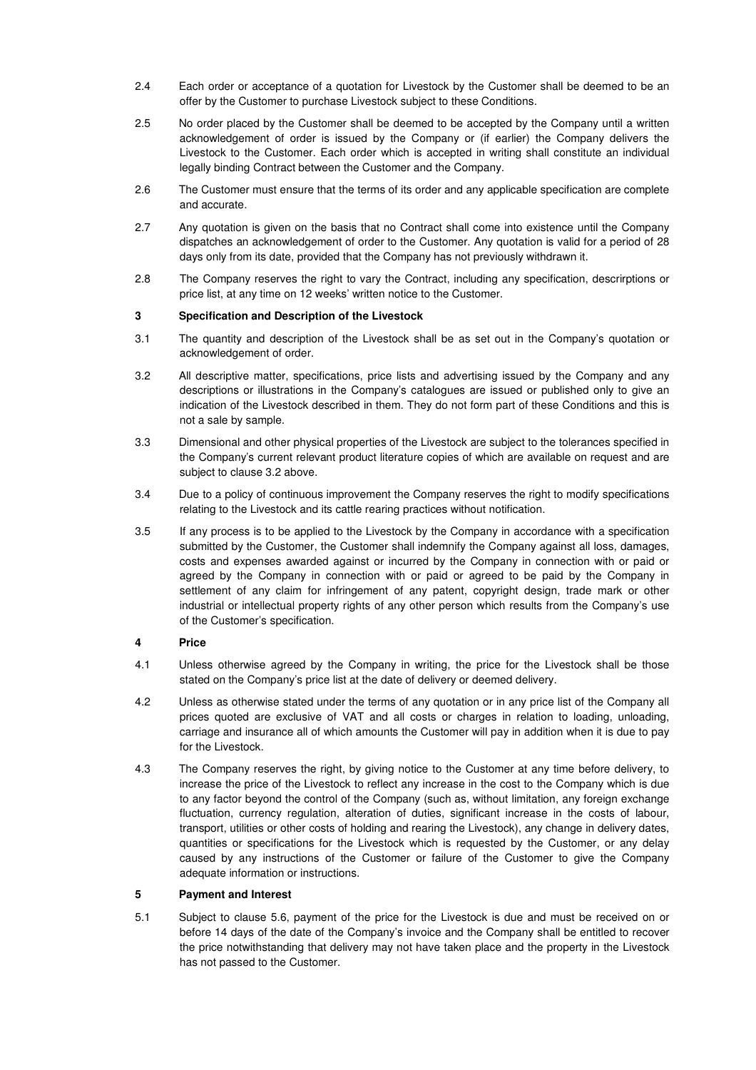- 2.4 Each order or acceptance of a quotation for Livestock by the Customer shall be deemed to be an offer by the Customer to purchase Livestock subject to these Conditions.
- 2.5 No order placed by the Customer shall be deemed to be accepted by the Company until a written acknowledgement of order is issued by the Company or (if earlier) the Company delivers the Livestock to the Customer. Each order which is accepted in writing shall constitute an individual legally binding Contract between the Customer and the Company.
- 2.6 The Customer must ensure that the terms of its order and any applicable specification are complete and accurate.
- 2.7 Any quotation is given on the basis that no Contract shall come into existence until the Company dispatches an acknowledgement of order to the Customer. Any quotation is valid for a period of 28 days only from its date, provided that the Company has not previously withdrawn it.
- 2.8 The Company reserves the right to vary the Contract, including any specification, descrirptions or price list, at any time on 12 weeks' written notice to the Customer.

### **3 Specification and Description of the Livestock**

- 3.1 The quantity and description of the Livestock shall be as set out in the Company's quotation or acknowledgement of order.
- 3.2 All descriptive matter, specifications, price lists and advertising issued by the Company and any descriptions or illustrations in the Company's catalogues are issued or published only to give an indication of the Livestock described in them. They do not form part of these Conditions and this is not a sale by sample.
- 3.3 Dimensional and other physical properties of the Livestock are subject to the tolerances specified in the Company's current relevant product literature copies of which are available on request and are subject to clause 3.2 above.
- 3.4 Due to a policy of continuous improvement the Company reserves the right to modify specifications relating to the Livestock and its cattle rearing practices without notification.
- 3.5 If any process is to be applied to the Livestock by the Company in accordance with a specification submitted by the Customer, the Customer shall indemnify the Company against all loss, damages, costs and expenses awarded against or incurred by the Company in connection with or paid or agreed by the Company in connection with or paid or agreed to be paid by the Company in settlement of any claim for infringement of any patent, copyright design, trade mark or other industrial or intellectual property rights of any other person which results from the Company's use of the Customer's specification.

# **4 Price**

- 4.1 Unless otherwise agreed by the Company in writing, the price for the Livestock shall be those stated on the Company's price list at the date of delivery or deemed delivery.
- 4.2 Unless as otherwise stated under the terms of any quotation or in any price list of the Company all prices quoted are exclusive of VAT and all costs or charges in relation to loading, unloading, carriage and insurance all of which amounts the Customer will pay in addition when it is due to pay for the Livestock.
- 4.3 The Company reserves the right, by giving notice to the Customer at any time before delivery, to increase the price of the Livestock to reflect any increase in the cost to the Company which is due to any factor beyond the control of the Company (such as, without limitation, any foreign exchange fluctuation, currency regulation, alteration of duties, significant increase in the costs of labour, transport, utilities or other costs of holding and rearing the Livestock), any change in delivery dates, quantities or specifications for the Livestock which is requested by the Customer, or any delay caused by any instructions of the Customer or failure of the Customer to give the Company adequate information or instructions.

#### **5 Payment and Interest**

5.1 Subject to clause 5.6, payment of the price for the Livestock is due and must be received on or before 14 days of the date of the Company's invoice and the Company shall be entitled to recover the price notwithstanding that delivery may not have taken place and the property in the Livestock has not passed to the Customer.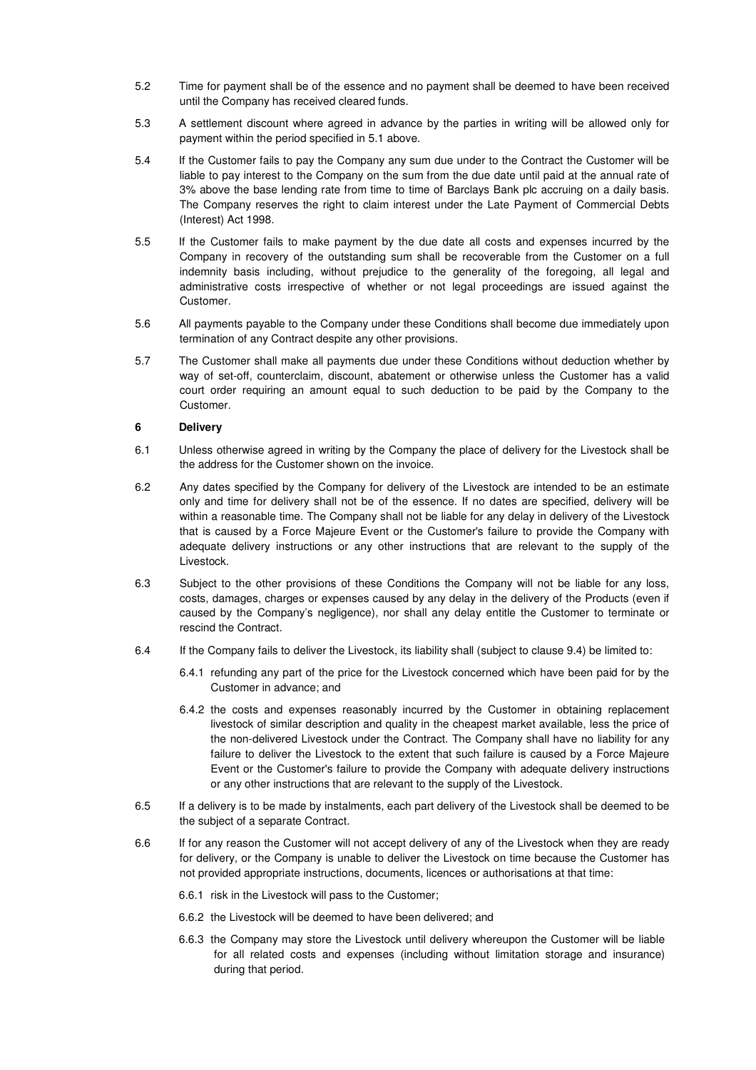- 5.2 Time for payment shall be of the essence and no payment shall be deemed to have been received until the Company has received cleared funds.
- 5.3 A settlement discount where agreed in advance by the parties in writing will be allowed only for payment within the period specified in 5.1 above.
- 5.4 If the Customer fails to pay the Company any sum due under to the Contract the Customer will be liable to pay interest to the Company on the sum from the due date until paid at the annual rate of 3% above the base lending rate from time to time of Barclays Bank plc accruing on a daily basis. The Company reserves the right to claim interest under the Late Payment of Commercial Debts (Interest) Act 1998.
- 5.5 If the Customer fails to make payment by the due date all costs and expenses incurred by the Company in recovery of the outstanding sum shall be recoverable from the Customer on a full indemnity basis including, without prejudice to the generality of the foregoing, all legal and administrative costs irrespective of whether or not legal proceedings are issued against the Customer.
- 5.6 All payments payable to the Company under these Conditions shall become due immediately upon termination of any Contract despite any other provisions.
- 5.7 The Customer shall make all payments due under these Conditions without deduction whether by way of set-off, counterclaim, discount, abatement or otherwise unless the Customer has a valid court order requiring an amount equal to such deduction to be paid by the Company to the Customer.

### **6 Delivery**

- 6.1 Unless otherwise agreed in writing by the Company the place of delivery for the Livestock shall be the address for the Customer shown on the invoice.
- 6.2 Any dates specified by the Company for delivery of the Livestock are intended to be an estimate only and time for delivery shall not be of the essence. If no dates are specified, delivery will be within a reasonable time. The Company shall not be liable for any delay in delivery of the Livestock that is caused by a Force Majeure Event or the Customer's failure to provide the Company with adequate delivery instructions or any other instructions that are relevant to the supply of the Livestock.
- 6.3 Subject to the other provisions of these Conditions the Company will not be liable for any loss, costs, damages, charges or expenses caused by any delay in the delivery of the Products (even if caused by the Company's negligence), nor shall any delay entitle the Customer to terminate or rescind the Contract.
- 6.4 If the Company fails to deliver the Livestock, its liability shall (subject to clause 9.4) be limited to:
	- 6.4.1 refunding any part of the price for the Livestock concerned which have been paid for by the Customer in advance; and
	- 6.4.2 the costs and expenses reasonably incurred by the Customer in obtaining replacement livestock of similar description and quality in the cheapest market available, less the price of the non-delivered Livestock under the Contract. The Company shall have no liability for any failure to deliver the Livestock to the extent that such failure is caused by a Force Majeure Event or the Customer's failure to provide the Company with adequate delivery instructions or any other instructions that are relevant to the supply of the Livestock.
- 6.5 If a delivery is to be made by instalments, each part delivery of the Livestock shall be deemed to be the subject of a separate Contract.
- 6.6 If for any reason the Customer will not accept delivery of any of the Livestock when they are ready for delivery, or the Company is unable to deliver the Livestock on time because the Customer has not provided appropriate instructions, documents, licences or authorisations at that time:
	- 6.6.1 risk in the Livestock will pass to the Customer;
	- 6.6.2 the Livestock will be deemed to have been delivered; and
	- 6.6.3 the Company may store the Livestock until delivery whereupon the Customer will be liable for all related costs and expenses (including without limitation storage and insurance) during that period.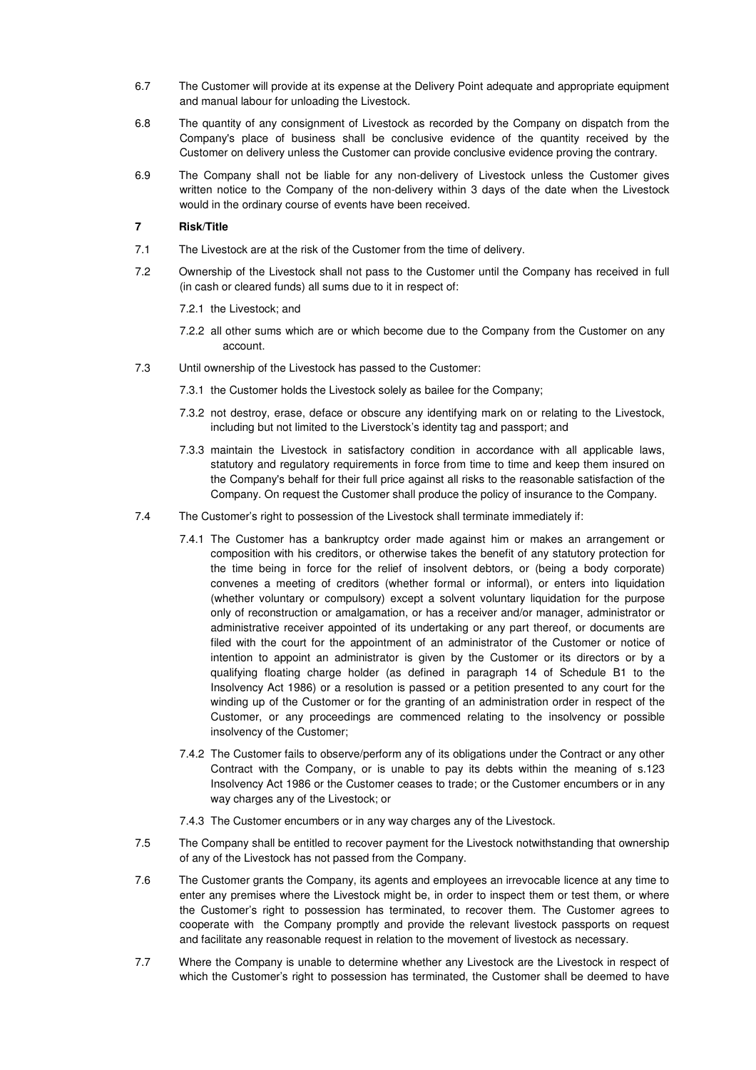- 6.7 The Customer will provide at its expense at the Delivery Point adequate and appropriate equipment and manual labour for unloading the Livestock.
- 6.8 The quantity of any consignment of Livestock as recorded by the Company on dispatch from the Company's place of business shall be conclusive evidence of the quantity received by the Customer on delivery unless the Customer can provide conclusive evidence proving the contrary.
- 6.9 The Company shall not be liable for any non-delivery of Livestock unless the Customer gives written notice to the Company of the non-delivery within 3 days of the date when the Livestock would in the ordinary course of events have been received.

# **7 Risk/Title**

- 7.1 The Livestock are at the risk of the Customer from the time of delivery.
- 7.2 Ownership of the Livestock shall not pass to the Customer until the Company has received in full (in cash or cleared funds) all sums due to it in respect of:

7.2.1 the Livestock; and

- 7.2.2 all other sums which are or which become due to the Company from the Customer on any account.
- 7.3 Until ownership of the Livestock has passed to the Customer:
	- 7.3.1 the Customer holds the Livestock solely as bailee for the Company;
	- 7.3.2 not destroy, erase, deface or obscure any identifying mark on or relating to the Livestock, including but not limited to the Liverstock's identity tag and passport; and
	- 7.3.3 maintain the Livestock in satisfactory condition in accordance with all applicable laws, statutory and regulatory requirements in force from time to time and keep them insured on the Company's behalf for their full price against all risks to the reasonable satisfaction of the Company. On request the Customer shall produce the policy of insurance to the Company.
- 7.4 The Customer's right to possession of the Livestock shall terminate immediately if:
	- 7.4.1 The Customer has a bankruptcy order made against him or makes an arrangement or composition with his creditors, or otherwise takes the benefit of any statutory protection for the time being in force for the relief of insolvent debtors, or (being a body corporate) convenes a meeting of creditors (whether formal or informal), or enters into liquidation (whether voluntary or compulsory) except a solvent voluntary liquidation for the purpose only of reconstruction or amalgamation, or has a receiver and/or manager, administrator or administrative receiver appointed of its undertaking or any part thereof, or documents are filed with the court for the appointment of an administrator of the Customer or notice of intention to appoint an administrator is given by the Customer or its directors or by a qualifying floating charge holder (as defined in paragraph 14 of Schedule B1 to the Insolvency Act 1986) or a resolution is passed or a petition presented to any court for the winding up of the Customer or for the granting of an administration order in respect of the Customer, or any proceedings are commenced relating to the insolvency or possible insolvency of the Customer;
	- 7.4.2 The Customer fails to observe/perform any of its obligations under the Contract or any other Contract with the Company, or is unable to pay its debts within the meaning of s.123 Insolvency Act 1986 or the Customer ceases to trade; or the Customer encumbers or in any way charges any of the Livestock; or
	- 7.4.3 The Customer encumbers or in any way charges any of the Livestock.
- 7.5 The Company shall be entitled to recover payment for the Livestock notwithstanding that ownership of any of the Livestock has not passed from the Company.
- 7.6 The Customer grants the Company, its agents and employees an irrevocable licence at any time to enter any premises where the Livestock might be, in order to inspect them or test them, or where the Customer's right to possession has terminated, to recover them. The Customer agrees to cooperate with the Company promptly and provide the relevant livestock passports on request and facilitate any reasonable request in relation to the movement of livestock as necessary.
- 7.7 Where the Company is unable to determine whether any Livestock are the Livestock in respect of which the Customer's right to possession has terminated, the Customer shall be deemed to have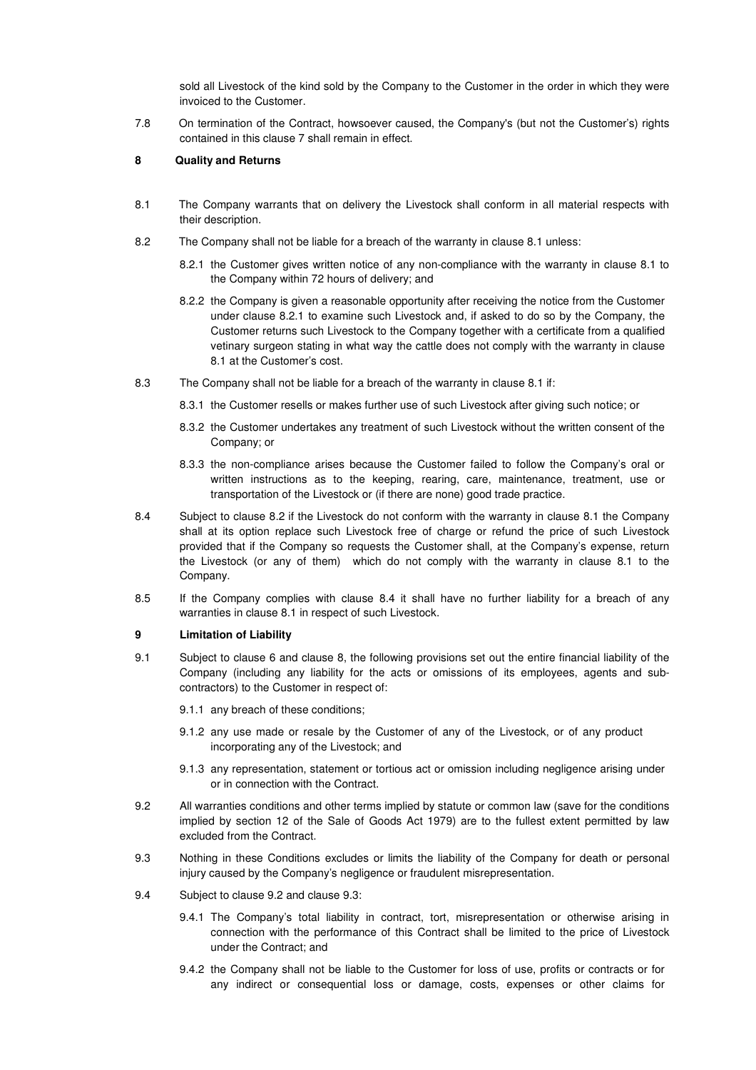sold all Livestock of the kind sold by the Company to the Customer in the order in which they were invoiced to the Customer.

7.8 On termination of the Contract, howsoever caused, the Company's (but not the Customer's) rights contained in this clause 7 shall remain in effect.

### **8 Quality and Returns**

- 8.1 The Company warrants that on delivery the Livestock shall conform in all material respects with their description.
- 8.2 The Company shall not be liable for a breach of the warranty in clause 8.1 unless:
	- 8.2.1 the Customer gives written notice of any non-compliance with the warranty in clause 8.1 to the Company within 72 hours of delivery; and
	- 8.2.2 the Company is given a reasonable opportunity after receiving the notice from the Customer under clause 8.2.1 to examine such Livestock and, if asked to do so by the Company, the Customer returns such Livestock to the Company together with a certificate from a qualified vetinary surgeon stating in what way the cattle does not comply with the warranty in clause 8.1 at the Customer's cost.
- 8.3 The Company shall not be liable for a breach of the warranty in clause 8.1 if:
	- 8.3.1 the Customer resells or makes further use of such Livestock after giving such notice; or
	- 8.3.2 the Customer undertakes any treatment of such Livestock without the written consent of the Company; or
	- 8.3.3 the non-compliance arises because the Customer failed to follow the Company's oral or written instructions as to the keeping, rearing, care, maintenance, treatment, use or transportation of the Livestock or (if there are none) good trade practice.
- 8.4 Subject to clause 8.2 if the Livestock do not conform with the warranty in clause 8.1 the Company shall at its option replace such Livestock free of charge or refund the price of such Livestock provided that if the Company so requests the Customer shall, at the Company's expense, return the Livestock (or any of them) which do not comply with the warranty in clause 8.1 to the Company.
- 8.5 If the Company complies with clause 8.4 it shall have no further liability for a breach of any warranties in clause 8.1 in respect of such Livestock.

#### **9 Limitation of Liability**

9.1 Subject to clause 6 and clause 8, the following provisions set out the entire financial liability of the Company (including any liability for the acts or omissions of its employees, agents and subcontractors) to the Customer in respect of:

9.1.1 any breach of these conditions;

- 9.1.2 any use made or resale by the Customer of any of the Livestock, or of any product incorporating any of the Livestock; and
- 9.1.3 any representation, statement or tortious act or omission including negligence arising under or in connection with the Contract.
- 9.2 All warranties conditions and other terms implied by statute or common law (save for the conditions implied by section 12 of the Sale of Goods Act 1979) are to the fullest extent permitted by law excluded from the Contract.
- 9.3 Nothing in these Conditions excludes or limits the liability of the Company for death or personal injury caused by the Company's negligence or fraudulent misrepresentation.
- 9.4 Subject to clause 9.2 and clause 9.3:
	- 9.4.1 The Company's total liability in contract, tort, misrepresentation or otherwise arising in connection with the performance of this Contract shall be limited to the price of Livestock under the Contract; and
	- 9.4.2 the Company shall not be liable to the Customer for loss of use, profits or contracts or for any indirect or consequential loss or damage, costs, expenses or other claims for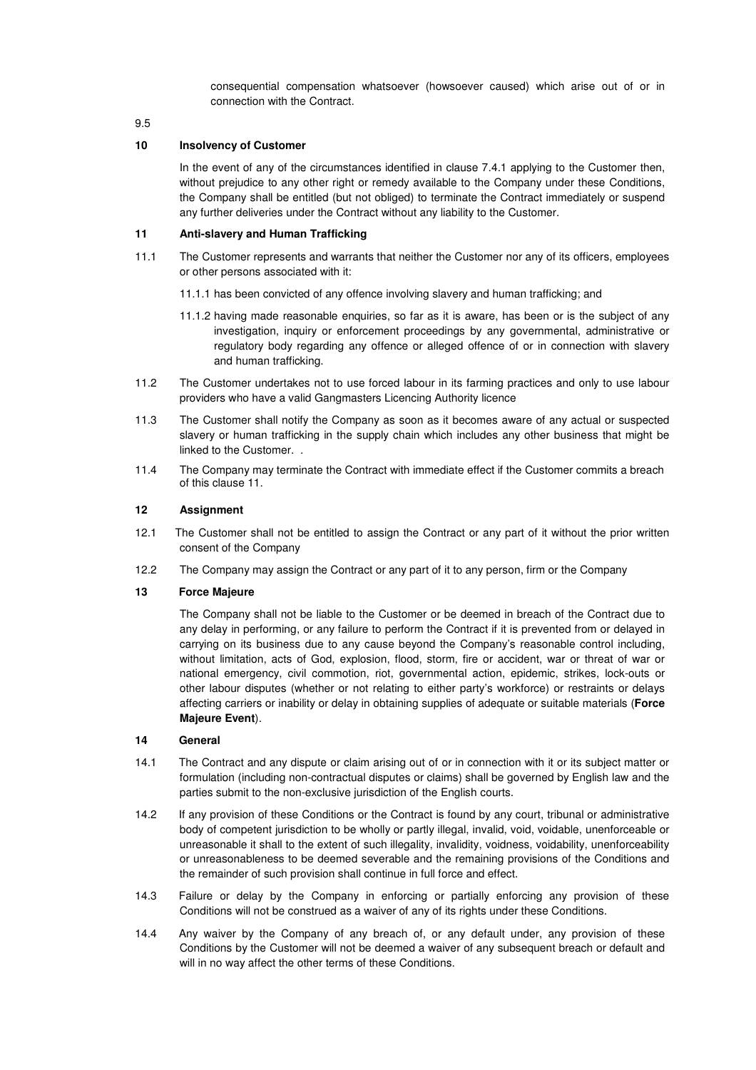consequential compensation whatsoever (howsoever caused) which arise out of or in connection with the Contract.

9.5

#### **10 Insolvency of Customer**

In the event of any of the circumstances identified in clause 7.4.1 applying to the Customer then, without prejudice to any other right or remedy available to the Company under these Conditions, the Company shall be entitled (but not obliged) to terminate the Contract immediately or suspend any further deliveries under the Contract without any liability to the Customer.

#### **11 Anti-slavery and Human Trafficking**

- 11.1 The Customer represents and warrants that neither the Customer nor any of its officers, employees or other persons associated with it:
	- 11.1.1 has been convicted of any offence involving slavery and human trafficking; and
	- 11.1.2 having made reasonable enquiries, so far as it is aware, has been or is the subject of any investigation, inquiry or enforcement proceedings by any governmental, administrative or regulatory body regarding any offence or alleged offence of or in connection with slavery and human trafficking.
- 11.2 The Customer undertakes not to use forced labour in its farming practices and only to use labour providers who have a valid Gangmasters Licencing Authority licence
- 11.3 The Customer shall notify the Company as soon as it becomes aware of any actual or suspected slavery or human trafficking in the supply chain which includes any other business that might be linked to the Customer. .
- 11.4 The Company may terminate the Contract with immediate effect if the Customer commits a breach of this clause 11.

#### **12 Assignment**

- 12.1 The Customer shall not be entitled to assign the Contract or any part of it without the prior written consent of the Company
- 12.2 The Company may assign the Contract or any part of it to any person, firm or the Company

#### **13 Force Majeure**

The Company shall not be liable to the Customer or be deemed in breach of the Contract due to any delay in performing, or any failure to perform the Contract if it is prevented from or delayed in carrying on its business due to any cause beyond the Company's reasonable control including, without limitation, acts of God, explosion, flood, storm, fire or accident, war or threat of war or national emergency, civil commotion, riot, governmental action, epidemic, strikes, lock-outs or other labour disputes (whether or not relating to either party's workforce) or restraints or delays affecting carriers or inability or delay in obtaining supplies of adequate or suitable materials (**Force Majeure Event**).

#### **14 General**

- 14.1 The Contract and any dispute or claim arising out of or in connection with it or its subject matter or formulation (including non-contractual disputes or claims) shall be governed by English law and the parties submit to the non-exclusive jurisdiction of the English courts.
- 14.2 If any provision of these Conditions or the Contract is found by any court, tribunal or administrative body of competent jurisdiction to be wholly or partly illegal, invalid, void, voidable, unenforceable or unreasonable it shall to the extent of such illegality, invalidity, voidness, voidability, unenforceability or unreasonableness to be deemed severable and the remaining provisions of the Conditions and the remainder of such provision shall continue in full force and effect.
- 14.3 Failure or delay by the Company in enforcing or partially enforcing any provision of these Conditions will not be construed as a waiver of any of its rights under these Conditions.
- 14.4 Any waiver by the Company of any breach of, or any default under, any provision of these Conditions by the Customer will not be deemed a waiver of any subsequent breach or default and will in no way affect the other terms of these Conditions.